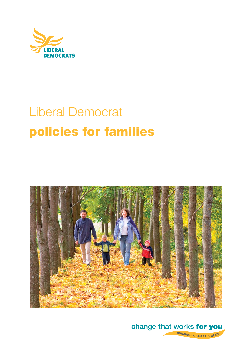

# Liberal Democrat **policies for families**



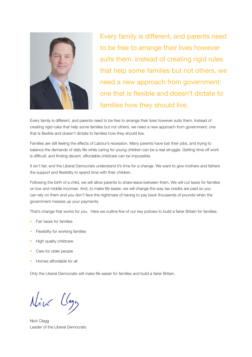

Every family is different, and parents need to be free to arrange their lives however suits them. Instead of creating rigid rules that help some families but not others, we need a new approach from government: one that is flexible and doesn't dictate to families how they should live.

Every family is different, and parents need to be free to arrange their lives however suits them. Instead of creating rigid rules that help some families but not others, we need a new approach from government: one that is flexible and doesn't dictate to families how they should live.

Families are still feeling the effects of Labour's recession. Many parents have lost their jobs, and trying to balance the demands of daily life while caring for young children can be a real struggle. Getting time off work is difficult, and finding decent, affordable childcare can be impossible.

It isn't fair, and the Liberal Democrats understand it's time for a change. We want to give mothers and fathers the support and flexibility to spend time with their children.

Following the birth of a child, we will allow parents to share leave between them. We will cut taxes for families on low and middle incomes. And, to make life easier, we will change the way tax credits are paid so you can rely on them and you don't face the nightmare of having to pay back thousands of pounds when the government messes up your payments.

That's change that works for you. Here we outline five of our key policies to build a fairer Britain for families:

- Fair taxes for families
- Flexibility for working families
- High quality childcare
- Care for older people
- Homes affordable for all

Only the Liberal Democrats will make life easier for families and build a fairer Britain.

Nick Clegg

Nick Clegg Leader of the Liberal Democrats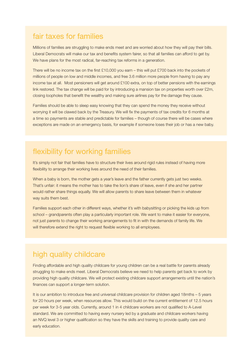#### fair taxes for families

Millions of families are struggling to make ends meet and are worried about how they will pay their bills. Liberal Democrats will make our tax and benefits system fairer, so that all families can afford to get by. We have plans for the most radical, far-reaching tax reforms in a generation.

There will be no income tax on the first £10,000 you earn – this will put £700 back into the pockets of millions of people on low and middle incomes, and free 3.6 million more people from having to pay any income tax at all. Most pensioners will get around £100 extra, on top of better pensions with the earnings link restored. The tax change will be paid for by introducing a mansion tax on properties worth over £2m, closing loopholes that benefit the wealthy and making sure airlines pay for the damage they cause.

Families should be able to sleep easy knowing that they can spend the money they receive without worrying it will be clawed back by the Treasury. We will fix the payments of tax credits for 6 months at a time so payments are stable and predictable for families – though of course there will be cases where exceptions are made on an emergency basis, for example if someone loses their job or has a new baby.

# flexibility for working families

It's simply not fair that families have to structure their lives around rigid rules instead of having more flexibility to arrange their working lives around the need of their families.

When a baby is born, the mother gets a year's leave and the father currently gets just two weeks. That's unfair: it means the mother has to take the lion's share of leave, even if she and her partner would rather share things equally. We will allow parents to share leave between them in whatever way suits them best.

Families support each other in different ways, whether it's with babysitting or picking the kids up from school – grandparents often play a particularly important role. We want to make it easier for everyone, not just parents to change their working arrangements to fit in with the demands of family life. We will therefore extend the right to request flexible working to all employees.

# high quality childcare

Finding affordable and high quality childcare for young children can be a real battle for parents already struggling to make ends meet. Liberal Democrats believe we need to help parents get back to work by providing high quality childcare. We will protect existing childcare support arrangements until the nation's finances can support a longer-term solution.

It is our ambition to introduce free and universal childcare provision for children aged 18mths - 5 years for 20 hours per week, when resources allow. This would build on the current entitlement of 12.5 hours per week for 3-5 year olds. Currently, around 1 in 4 childcare workers are not qualified to A-Level standard. We are committed to having every nursery led by a graduate and childcare workers having an NVQ level 3 or higher qualification so they have the skills and training to provide quality care and early education.